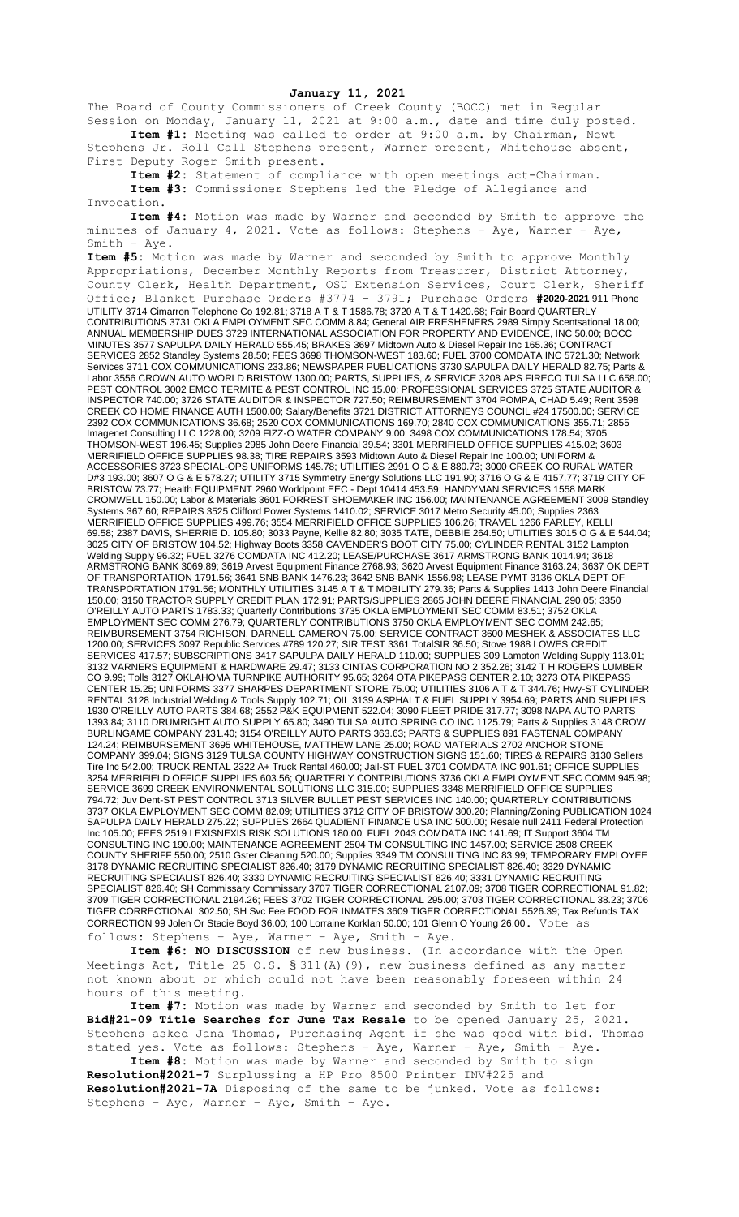## **January 11, 2021**

The Board of County Commissioners of Creek County (BOCC) met in Regular Session on Monday, January 11, 2021 at 9:00 a.m., date and time duly posted. **Item #1:** Meeting was called to order at 9:00 a.m. by Chairman, Newt

Stephens Jr. Roll Call Stephens present, Warner present, Whitehouse absent, First Deputy Roger Smith present.

**Item #2:** Statement of compliance with open meetings act-Chairman. **Item #3:** Commissioner Stephens led the Pledge of Allegiance and Invocation.

**Item #4:** Motion was made by Warner and seconded by Smith to approve the minutes of January 4, 2021. Vote as follows: Stephens – Aye, Warner – Aye, Smith – Aye.

**Item #5:** Motion was made by Warner and seconded by Smith to approve Monthly Appropriations, December Monthly Reports from Treasurer, District Attorney, County Clerk, Health Department, OSU Extension Services, Court Clerk, Sheriff Office; Blanket Purchase Orders #3774 - 3791; Purchase Orders **#2020-2021** 911 Phone UTILITY 3714 Cimarron Telephone Co 192.81; 3718 A T & T 1586.78; 3720 A T & T 1420.68; Fair Board QUARTERLY CONTRIBUTIONS 3731 OKLA EMPLOYMENT SEC COMM 8.84; General AIR FRESHENERS 2989 Simply Scentsational 18.00; ANNUAL MEMBERSHIP DUES 3729 INTERNATIONAL ASSOCIATION FOR PROPERTY AND EVIDENCE, INC 50.00; BOCC MINUTES 3577 SAPULPA DAILY HERALD 555.45; BRAKES 3697 Midtown Auto & Diesel Repair Inc 165.36; CONTRACT SERVICES 2852 Standley Systems 28.50; FEES 3698 THOMSON-WEST 183.60; FUEL 3700 COMDATA INC 5721.30; Network Services 3711 COX COMMUNICATIONS 233.86; NEWSPAPER PUBLICATIONS 3730 SAPULPA DAILY HERALD 82.75; Parts & Labor 3556 CROWN AUTO WORLD BRISTOW 1300.00; PARTS, SUPPLIES, & SERVICE 3208 APS FIRECO TULSA LLC 658.00; PEST CONTROL 3002 EMCO TERMITE & PEST CONTROL INC 15.00; PROFESSIONAL SERVICES 3725 STATE AUDITOR & INSPECTOR 740.00; 3726 STATE AUDITOR & INSPECTOR 727.50; REIMBURSEMENT 3704 POMPA, CHAD 5.49; Rent 3598 CREEK CO HOME FINANCE AUTH 1500.00; Salary/Benefits 3721 DISTRICT ATTORNEYS COUNCIL #24 17500.00; SERVICE 2392 COX COMMUNICATIONS 36.68; 2520 COX COMMUNICATIONS 169.70; 2840 COX COMMUNICATIONS 355.71; 2855 Imagenet Consulting LLC 1228.00; 3209 FIZZ-O WATER COMPANY 9.00; 3498 COX COMMUNICATIONS 178.54; 3705 THOMSON-WEST 196.45; Supplies 2985 John Deere Financial 39.54; 3301 MERRIFIELD OFFICE SUPPLIES 415.02; 3603 MERRIFIELD OFFICE SUPPLIES 98.38; TIRE REPAIRS 3593 Midtown Auto & Diesel Repair Inc 100.00; UNIFORM & ACCESSORIES 3723 SPECIAL-OPS UNIFORMS 145.78; UTILITIES 2991 O G & E 880.73; 3000 CREEK CO RURAL WATER D#3 193.00; 3607 O G & E 578.27; UTILITY 3715 Symmetry Energy Solutions LLC 191.90; 3716 O G & E 4157.77; 3719 CITY OF BRISTOW 73.77; Health EQUIPMENT 2960 Worldpoint EEC - Dept 10414 453.59; HANDYMAN SERVICES 1558 MARK CROMWELL 150.00; Labor & Materials 3601 FORREST SHOEMAKER INC 156.00; MAINTENANCE AGREEMENT 3009 Standley Systems 367.60; REPAIRS 3525 Clifford Power Systems 1410.02; SERVICE 3017 Metro Security 45.00; Supplies 2363 MERRIFIELD OFFICE SUPPLIES 499.76; 3554 MERRIFIELD OFFICE SUPPLIES 106.26; TRAVEL 1266 FARLEY, KELLI 69.58; 2387 DAVIS, SHERRIE D. 105.80; 3033 Payne, Kellie 82.80; 3035 TATE, DEBBIE 264.50; UTILITIES 3015 O G & E 544.04; 3025 CITY OF BRISTOW 104.52; Highway Boots 3358 CAVENDER'S BOOT CITY 75.00; CYLINDER RENTAL 3152 Lampton Welding Supply 96.32; FUEL 3276 COMDATA INC 412.20; LEASE/PURCHASE 3617 ARMSTRONG BANK 1014.94; 3618 ARMSTRONG BANK 3069.89; 3619 Arvest Equipment Finance 2768.93; 3620 Arvest Equipment Finance 3163.24; 3637 OK DEPT OF TRANSPORTATION 1791.56; 3641 SNB BANK 1476.23; 3642 SNB BANK 1556.98; LEASE PYMT 3136 OKLA DEPT OF TRANSPORTATION 1791.56; MONTHLY UTILITIES 3145 A T & T MOBILITY 279.36; Parts & Supplies 1413 John Deere Financial 150.00; 3150 TRACTOR SUPPLY CREDIT PLAN 172.91; PARTS/SUPPLIES 2865 JOHN DEERE FINANCIAL 290.05; 3350 O'REILLY AUTO PARTS 1783.33; Quarterly Contributions 3735 OKLA EMPLOYMENT SEC COMM 83.51; 3752 OKLA EMPLOYMENT SEC COMM 276.79; QUARTERLY CONTRIBUTIONS 3750 OKLA EMPLOYMENT SEC COMM 242.65; REIMBURSEMENT 3754 RICHISON, DARNELL CAMERON 75.00; SERVICE CONTRACT 3600 MESHEK & ASSOCIATES LLC 1200.00; SERVICES 3097 Republic Services #789 120.27; SIR TEST 3361 TotalSIR 36.50; Stove 1988 LOWES CREDIT SERVICES 417.57; SUBSCRIPTIONS 3417 SAPULPA DAILY HERALD 110.00; SUPPLIES 309 Lampton Welding Supply 113.01; 3132 VARNERS EQUIPMENT & HARDWARE 29.47; 3133 CINTAS CORPORATION NO 2 352.26; 3142 T H ROGERS LUMBER CO 9.99; Tolls 3127 OKLAHOMA TURNPIKE AUTHORITY 95.65; 3264 OTA PIKEPASS CENTER 2.10; 3273 OTA PIKEPASS CENTER 15.25; UNIFORMS 3377 SHARPES DEPARTMENT STORE 75.00; UTILITIES 3106 A T & T 344.76; Hwy-ST CYLINDER RENTAL 3128 Industrial Welding & Tools Supply 102.71; OIL 3139 ASPHALT & FUEL SUPPLY 3954.69; PARTS AND SUPPLIES 1930 O'REILLY AUTO PARTS 384.68; 2552 P&K EQUIPMENT 522.04; 3090 FLEET PRIDE 317.77; 3098 NAPA AUTO PARTS 1393.84; 3110 DRUMRIGHT AUTO SUPPLY 65.80; 3490 TULSA AUTO SPRING CO INC 1125.79; Parts & Supplies 3148 CROW BURLINGAME COMPANY 231.40; 3154 O'REILLY AUTO PARTS 363.63; PARTS & SUPPLIES 891 FASTENAL COMPANY 124.24; REIMBURSEMENT 3695 WHITEHOUSE, MATTHEW LANE 25.00; ROAD MATERIALS 2702 ANCHOR STONE COMPANY 399.04; SIGNS 3129 TULSA COUNTY HIGHWAY CONSTRUCTION SIGNS 151.60; TIRES & REPAIRS 3130 Sellers Tire Inc 542.00; TRUCK RENTAL 2322 A+ Truck Rental 460.00; Jail-ST FUEL 3701 COMDATA INC 901.61; OFFICE SUPPLIES 3254 MERRIFIELD OFFICE SUPPLIES 603.56; QUARTERLY CONTRIBUTIONS 3736 OKLA EMPLOYMENT SEC COMM 945.98; SERVICE 3699 CREEK ENVIRONMENTAL SOLUTIONS LLC 315.00; SUPPLIES 3348 MERRIFIELD OFFICE SUPPLIES 794.72; Juv Dent-ST PEST CONTROL 3713 SILVER BULLET PEST SERVICES INC 140.00; QUARTERLY CONTRIBUTIONS 3737 OKLA EMPLOYMENT SEC COMM 82.09; UTILITIES 3712 CITY OF BRISTOW 300.20; Planning/Zoning PUBLICATION 1024 SAPULPA DAILY HERALD 275.22; SUPPLIES 2664 QUADIENT FINANCE USA INC 500.00; Resale null 2411 Federal Protection Inc 105.00; FEES 2519 LEXISNEXIS RISK SOLUTIONS 180.00; FUEL 2043 COMDATA INC 141.69; IT Support 3604 TM CONSULTING INC 190.00; MAINTENANCE AGREEMENT 2504 TM CONSULTING INC 1457.00; SERVICE 2508 CREEK COUNTY SHERIFF 550.00; 2510 Gster Cleaning 520.00; Supplies 3349 TM CONSULTING INC 83.99; TEMPORARY EMPLOYEE 3178 DYNAMIC RECRUITING SPECIALIST 826.40; 3179 DYNAMIC RECRUITING SPECIALIST 826.40; 3329 DYNAMIC RECRUITING SPECIALIST 826.40; 3330 DYNAMIC RECRUITING SPECIALIST 826.40; 3331 DYNAMIC RECRUITING SPECIALIST 826.40; SH Commissary Commissary 3707 TIGER CORRECTIONAL 2107.09; 3708 TIGER CORRECTIONAL 91.82; 3709 TIGER CORRECTIONAL 2194.26; FEES 3702 TIGER CORRECTIONAL 295.00; 3703 TIGER CORRECTIONAL 38.23; 3706 TIGER CORRECTIONAL 302.50; SH Svc Fee FOOD FOR INMATES 3609 TIGER CORRECTIONAL 5526.39; Tax Refunds TAX CORRECTION 99 Jolen Or Stacie Boyd 36.00; 100 Lorraine Korklan 50.00; 101 Glenn O Young 26.00. Vote as

follows: Stephens – Aye, Warner – Aye, Smith – Aye.

**Item #6: NO DISCUSSION** of new business. (In accordance with the Open Meetings Act, Title 25 O.S. § 311(A)(9), new business defined as any matter not known about or which could not have been reasonably foreseen within 24 hours of this meeting.

**Item #7:** Motion was made by Warner and seconded by Smith to let for **Bid#21-09 Title Searches for June Tax Resale** to be opened January 25, 2021. Stephens asked Jana Thomas, Purchasing Agent if she was good with bid. Thomas stated yes. Vote as follows: Stephens – Aye, Warner – Aye, Smith – Aye.

**Item #8:** Motion was made by Warner and seconded by Smith to sign **Resolution#2021-7** Surplussing a HP Pro 8500 Printer INV#225 and **Resolution#2021-7A** Disposing of the same to be junked. Vote as follows: Stephens – Aye, Warner – Aye, Smith – Aye.